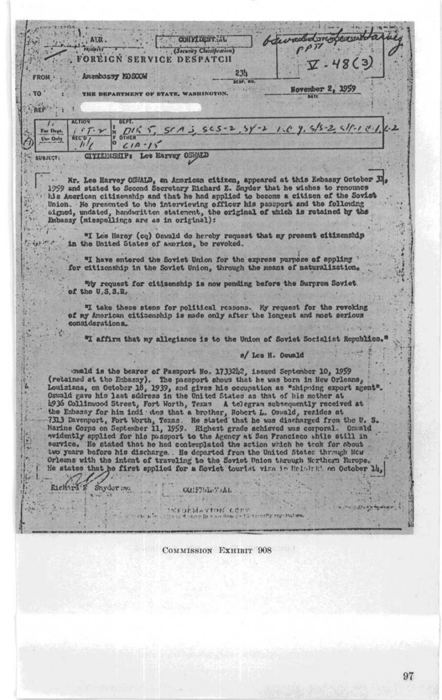beer moded irregularsent **CONVIDENTIAL** ATTL. **S'inidaire**  $PPT$ (Security Classification) . FOREIGN SERVICE DESPATCH  $\mathcal{V}$ . 48(3)  $23h$ Amambassy KOSCOW FROM -DESP. NO  $\frac{1}{2}$ November 2, 1959  $.70$ THE DEPARTMENT OF STATE, WASHINGTON, REF  $\overline{I}$  $565 - 2$ ,  $5y' - 2$ ,  $1.6$ ,  $9.5/5 - 2$ ,  $5/1$ ,  $1.1$ ,  $1.2$  $O(K)$ For Dept.  $r$ T.  $\sqrt{2}$  $S(A)$  $\begin{array}{c}\n\stackrel{\text{N}}{0}\n\end{array}\n\quad \text{or} \quad \text{at} \quad \frac{1}{2}\n\begin{array}{c}\n\text{N}\n\end{array}$ **ALC'O** Use Only  $\frac{1}{2}$ CITIZENSHIP: Lee Harvey OSWALD **SUBJECT:** s Mr. Lee Harvey OSMALD, en American citizen, appeared at this Embassy October 31, 1959 and stated to Second Secretary Richard E. Snyder that he wishes to renounce his American citizenship and that he had applied to become a citizen of the Soviet Union. He presented to the interviewing officer his passport and the following aigned, undated, handwritten statement, the original of which is retained by the Enbasay (misspellings are as in original): 3 "I Lee Haroy (cq) Oswald do hereby request that my present citizenship in the United States of America, be revoked. ŘиF "I have entered the Soviet Union for the express purpose of appling : for citizenship in the Soviet Union, through the means of naturalization. "My request for citisenship is now pending before the Surprem Soviet. of the  $U, S, S, R$ , "I take these steps for political reasons. My request for the revoking of my American citizenship is made only after the longest and most serious considerations. "I affirm that my allegiance is to the Union of Soviet Socialist Republics. s/ Lee H. Oguald unald is the bearer of Passport No. 17332h?, issued September 10, 1959 (retained at the Embassy). The passport shows that he was born in New Orleans, 富 Louisiana, on October 18, 1939, and gives his occupation as "shipping export agent".<br>Oswald gave his last address in the United States as that of his mother at 4936 Collinwood Street, Fort Worth, Texas A telegram subsequently received at app. Continuous aveve, for worth, renay a tenegram successive renay to the Enhance for him indi to the incher, Robert L. Oswald, resides at 7313 Davenport, Fort Worth, Tezas. He stated that he was discharged from the U. Sh  $S_{-}$ ٥ 悶 He. Orleans with the intent of traveling to the Soviet Union through Northern Rurope. He states that he first applied for a Soviet tourist vina in Helminki on October 14. 格 Richard F Snyder me CONSTITUTION IN L. SEULMATION COPY COMMISSION EXHIBIT 908

97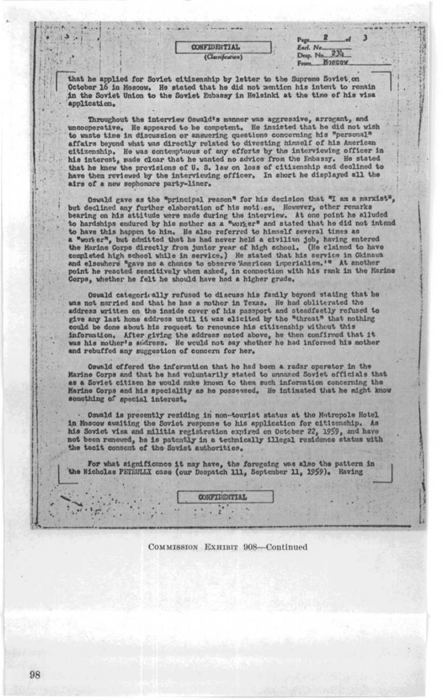| <b>CONFIDENTIAL</b> |  |
|---------------------|--|
|                     |  |
| (Clarrification)    |  |

Page 2 of 3<br>Encl. No. 234 Page 2 of<br>Encl. No. 234<br>Desp. No. 234<br>From 23860W From \_\_ E2BCQW

that he applied for Soviet citizenship by letter to the Supreme Soviet .on October 16 in Moscow. He stated that he did not mention his intent to remain in the Soviet Union to the Soviet Embassy in Helsinki at the time of his visa 'application.

Throughout the interview Oswald's manner was aggressive, arrogant, and uncooperative. He appeared to be competent. He insisted that he did not wish to waste time in discussion or answering questions concerning his "personal" affairs beyond what was directly related to divesting himself of his American citizenship. He was contemptuous of any efforts by the interviewing officer in his interest, made clear that he wanted no advice from the Embassy. He stated that he knew the provisions of U. S. law on loss of citizenship and declined to have them reviewed by the interviewing officer. In short he displayed all the airs of a new sophomore party-liner.

Oswald gave as the "principal reason" for his decision that "I am a marxiet", but declined any further elaboration of his motives. However, other remarks bearing on his attitude were made during the interview. At one point he alluded<br>to hardships endured by his mother as a "worker" and stated that he did not intend to have this happen to him. He also referred to himself several times as a "worker", but admitted that he had never held a civilian job, having entered the Harine Corps directly from junior year of high school. (He claimed to have completed high school while in service.) He stated that his serv and elsewhere "gave me a chance to observe American imperialism. " At another point he reacted sensitively when asked, in connection with his rank in the Marine Corps, whether he felt he should have had a higher grade.

Oswald categorically refused to discuss his family beyond stating that he was not married and that he has a mother in Texas. He had obliterated the address written on the inside cover of file passport and steadfeatly refused to give any last home address until it was elicited by the "threat" that nothing could be done about his request to renounce his citizenship without this information. After giving the address noted above, he then confirmed that it<br>was his mother's sudress. He would not say whether he had informed his mother and rebuffed any suggestion of concern for her.

Oewald offered the information that he had been a radar operator in the Marine Corps and that he had voluntarily stated to unnared Soviet officials that as a Soviet citizen he would make known to them such information concerning the Marine Corps and his speciality as he possessed. He intimated that he might know something of special interest.

. Oswald is presently residing in non-tourist status at the Matropole Hotel in Moscow awaiting the Soviet response to his application for citizenship. As his Soviet visa and militia registration expired on Oct;ber 22, 1959, and have not been renewed, he is patently in a technically illegal residence status with<br>the tacit consent of the Soviet authorities.

For what significance it may have, the foregoing was also the pattern in<br>the Nicholas PETRULLI case (our Despatch 111, September 11, 1959). Having

**CONFIDENTIAL** 

COMMISSION EXHIBIT 908-Continued